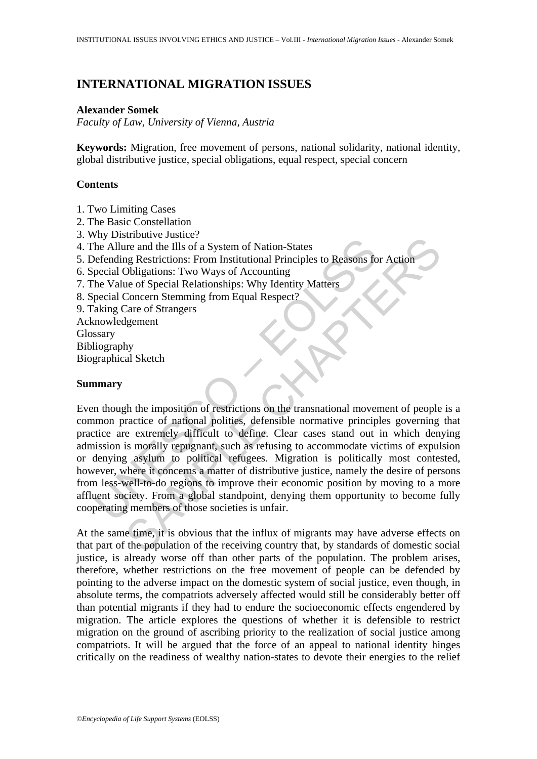# **INTERNATIONAL MIGRATION ISSUES**

### **Alexander Somek**

*Faculty of Law, University of Vienna, Austria* 

**Keywords:** Migration, free movement of persons, national solidarity, national identity, global distributive justice, special obligations, equal respect, special concern

# **Contents**

- 1. Two Limiting Cases
- 2. The Basic Constellation
- 3. Why Distributive Justice?
- 4. The Allure and the Ills of a System of Nation-States
- 5. Defending Restrictions: From Institutional Principles to Reasons for Action
- 6. Special Obligations: Two Ways of Accounting
- 7. The Value of Special Relationships: Why Identity Matters
- 8. Special Concern Stemming from Equal Respect?
- 9. Taking Care of Strangers
- Acknowledgement Glossary Bibliography Biographical Sketch

## **Summary**

For Musical Control and the HIs of a System of Nation-States<br>
the Allure and the HIs of a System of Nation-States<br>
befending Restrictions: From Institutional Principles to Reasons fo<br>
pecial Obligations: Two Ways of Accoun Exercutive valuate.<br>
In the and the IIIs of a System of Nation-States<br>
In g Restrictions: From Institutional Principles to Reasons for Action<br>
Obligations: Two Ways of Accounting<br>
Lee of Special Relationships: Why Identity Even though the imposition of restrictions on the transnational movement of people is a common practice of national polities, defensible normative principles governing that practice are extremely difficult to define. Clear cases stand out in which denying admission is morally repugnant, such as refusing to accommodate victims of expulsion or denying asylum to political refugees. Migration is politically most contested, however, where it concerns a matter of distributive justice, namely the desire of persons from less-well-to-do regions to improve their economic position by moving to a more affluent society. From a global standpoint, denying them opportunity to become fully cooperating members of those societies is unfair.

At the same time, it is obvious that the influx of migrants may have adverse effects on that part of the population of the receiving country that, by standards of domestic social justice, is already worse off than other parts of the population. The problem arises, therefore, whether restrictions on the free movement of people can be defended by pointing to the adverse impact on the domestic system of social justice, even though, in absolute terms, the compatriots adversely affected would still be considerably better off than potential migrants if they had to endure the socioeconomic effects engendered by migration. The article explores the questions of whether it is defensible to restrict migration on the ground of ascribing priority to the realization of social justice among compatriots. It will be argued that the force of an appeal to national identity hinges critically on the readiness of wealthy nation-states to devote their energies to the relief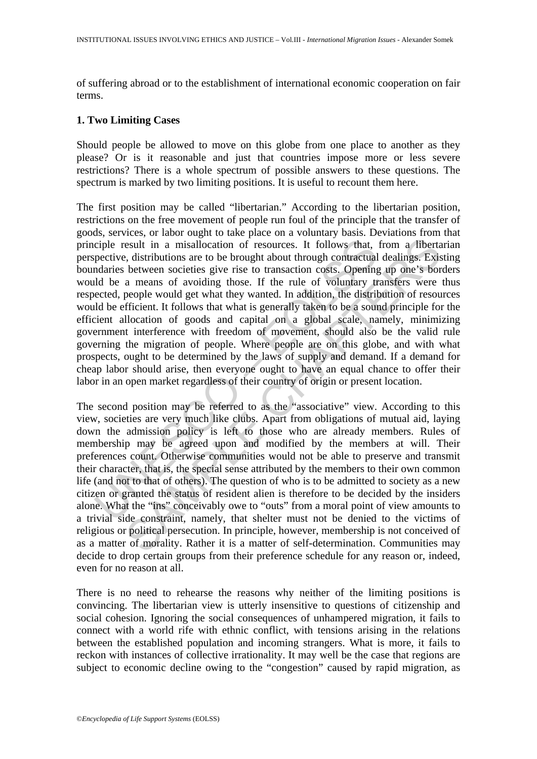of suffering abroad or to the establishment of international economic cooperation on fair terms.

### **1. Two Limiting Cases**

Should people be allowed to move on this globe from one place to another as they please? Or is it reasonable and just that countries impose more or less severe restrictions? There is a whole spectrum of possible answers to these questions. The spectrum is marked by two limiting positions. It is useful to recount them here.

ciple result in a misallocation of resources. It follows that, pective, distributions are to be brought about through contractual maries between societies give rise to transaction costs. Opening ld be a means of avoiding t The first position may be called "libertarian." According to the libertarian position, restrictions on the free movement of people run foul of the principle that the transfer of goods, services, or labor ought to take place on a voluntary basis. Deviations from that principle result in a misallocation of resources. It follows that, from a libertarian perspective, distributions are to be brought about through contractual dealings. Existing boundaries between societies give rise to transaction costs. Opening up one's borders would be a means of avoiding those. If the rule of voluntary transfers were thus respected, people would get what they wanted. In addition, the distribution of resources would be efficient. It follows that what is generally taken to be a sound principle for the efficient allocation of goods and capital on a global scale, namely, minimizing government interference with freedom of movement, should also be the valid rule governing the migration of people. Where people are on this globe, and with what prospects, ought to be determined by the laws of supply and demand. If a demand for cheap labor should arise, then everyone ought to have an equal chance to offer their labor in an open market regardless of their country of origin or present location.

esult in a misallocation of resources. It follows that, from a liberta, distributions are to be brought about through contractual dealings. Exisely the control of resources in the two control of the measure of coins are mo The second position may be referred to as the "associative" view. According to this view, societies are very much like clubs. Apart from obligations of mutual aid, laying down the admission policy is left to those who are already members. Rules of membership may be agreed upon and modified by the members at will. Their preferences count. Otherwise communities would not be able to preserve and transmit their character, that is, the special sense attributed by the members to their own common life (and not to that of others). The question of who is to be admitted to society as a new citizen or granted the status of resident alien is therefore to be decided by the insiders alone. What the "ins" conceivably owe to "outs" from a moral point of view amounts to a trivial side constraint, namely, that shelter must not be denied to the victims of religious or political persecution. In principle, however, membership is not conceived of as a matter of morality. Rather it is a matter of self-determination. Communities may decide to drop certain groups from their preference schedule for any reason or, indeed, even for no reason at all.

There is no need to rehearse the reasons why neither of the limiting positions is convincing. The libertarian view is utterly insensitive to questions of citizenship and social cohesion. Ignoring the social consequences of unhampered migration, it fails to connect with a world rife with ethnic conflict, with tensions arising in the relations between the established population and incoming strangers. What is more, it fails to reckon with instances of collective irrationality. It may well be the case that regions are subject to economic decline owing to the "congestion" caused by rapid migration, as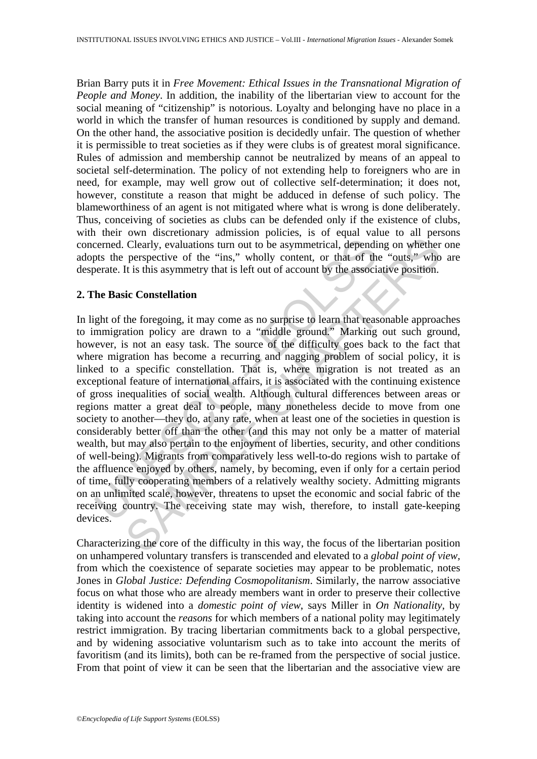Brian Barry puts it in *Free Movement: Ethical Issues in the Transnational Migration of People and Money*. In addition, the inability of the libertarian view to account for the social meaning of "citizenship" is notorious. Loyalty and belonging have no place in a world in which the transfer of human resources is conditioned by supply and demand. On the other hand, the associative position is decidedly unfair. The question of whether it is permissible to treat societies as if they were clubs is of greatest moral significance. Rules of admission and membership cannot be neutralized by means of an appeal to societal self-determination. The policy of not extending help to foreigners who are in need, for example, may well grow out of collective self-determination; it does not, however, constitute a reason that might be adduced in defense of such policy. The blameworthiness of an agent is not mitigated where what is wrong is done deliberately. Thus, conceiving of societies as clubs can be defended only if the existence of clubs, with their own discretionary admission policies, is of equal value to all persons concerned. Clearly, evaluations turn out to be asymmetrical, depending on whether one adopts the perspective of the "ins," wholly content, or that of the "outs," who are desperate. It is this asymmetry that is left out of account by the associative position.

# **2. The Basic Constellation**

cerned. Clearly, evaluations turn out to be asymmetrical, dependinty the perspective of the "ins," wholly content, or that of the berate. It is this asymmetry that is left out of account by the associated. The Basic Conste Clearly, evaluations turn out to be asymmetrical, depending on whether<br>perspective of the "ins," wholly content, or that of the "outs," who<br>the it is this asymmetry that is left out of account by the associative position.<br> In light of the foregoing, it may come as no surprise to learn that reasonable approaches to immigration policy are drawn to a "middle ground." Marking out such ground, however, is not an easy task. The source of the difficulty goes back to the fact that where migration has become a recurring and nagging problem of social policy, it is linked to a specific constellation. That is, where migration is not treated as an exceptional feature of international affairs, it is associated with the continuing existence of gross inequalities of social wealth. Although cultural differences between areas or regions matter a great deal to people, many nonetheless decide to move from one society to another—they do, at any rate, when at least one of the societies in question is considerably better off than the other (and this may not only be a matter of material wealth, but may also pertain to the enjoyment of liberties, security, and other conditions of well-being). Migrants from comparatively less well-to-do regions wish to partake of the affluence enjoyed by others, namely, by becoming, even if only for a certain period of time, fully cooperating members of a relatively wealthy society. Admitting migrants on an unlimited scale, however, threatens to upset the economic and social fabric of the receiving country. The receiving state may wish, therefore, to install gate-keeping devices.

Characterizing the core of the difficulty in this way, the focus of the libertarian position on unhampered voluntary transfers is transcended and elevated to a *global point of view,* from which the coexistence of separate societies may appear to be problematic, notes Jones in *Global Justice: Defending Cosmopolitanism*. Similarly, the narrow associative focus on what those who are already members want in order to preserve their collective identity is widened into a *domestic point of view*, says Miller in *On Nationality*, by taking into account the *reasons* for which members of a national polity may legitimately restrict immigration. By tracing libertarian commitments back to a global perspective, and by widening associative voluntarism such as to take into account the merits of favoritism (and its limits), both can be re-framed from the perspective of social justice. From that point of view it can be seen that the libertarian and the associative view are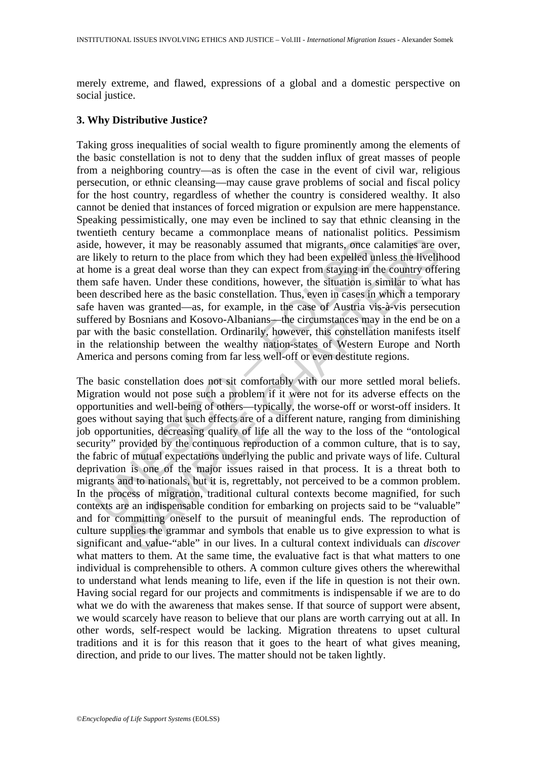merely extreme, and flawed, expressions of a global and a domestic perspective on social justice.

## **3. Why Distributive Justice?**

Taking gross inequalities of social wealth to figure prominently among the elements of the basic constellation is not to deny that the sudden influx of great masses of people from a neighboring country—as is often the case in the event of civil war, religious persecution, or ethnic cleansing—may cause grave problems of social and fiscal policy for the host country, regardless of whether the country is considered wealthy. It also cannot be denied that instances of forced migration or expulsion are mere happenstance. Speaking pessimistically, one may even be inclined to say that ethnic cleansing in the twentieth century became a commonplace means of nationalist politics. Pessimism aside, however, it may be reasonably assumed that migrants, once calamities are over, are likely to return to the place from which they had been expelled unless the livelihood at home is a great deal worse than they can expect from staying in the country offering them safe haven. Under these conditions, however, the situation is similar to what has been described here as the basic constellation. Thus, even in cases in which a temporary safe haven was granted—as, for example, in the case of Austria vis-à-vis persecution suffered by Bosnians and Kosovo-Albanians—the circumstances may in the end be on a par with the basic constellation. Ordinarily, however, this constellation manifests itself in the relationship between the wealthy nation-states of Western Europe and North America and persons coming from far less well-off or even destitute regions.

e, however, it may be reasonably assumed that migrants, once c<br>likely to return to the place from which they had been expelled ur<br>ome is a great deal worse than they can expect from staying in th<br>safe haven. Under these co ever, it may be reasonably assumed that migrants, once calamities are contrum to the place from which they had been expelled unless the livelih a great deal worse than they had been expelled unless the livelih and are at e The basic constellation does not sit comfortably with our more settled moral beliefs. Migration would not pose such a problem if it were not for its adverse effects on the opportunities and well-being of others—typically, the worse-off or worst-off insiders. It goes without saying that such effects are of a different nature, ranging from diminishing job opportunities, decreasing quality of life all the way to the loss of the "ontological security" provided by the continuous reproduction of a common culture, that is to say, the fabric of mutual expectations underlying the public and private ways of life. Cultural deprivation is one of the major issues raised in that process. It is a threat both to migrants and to nationals, but it is, regrettably, not perceived to be a common problem. In the process of migration, traditional cultural contexts become magnified, for such contexts are an indispensable condition for embarking on projects said to be "valuable" and for committing oneself to the pursuit of meaningful ends. The reproduction of culture supplies the grammar and symbols that enable us to give expression to what is significant and value-"able" in our lives. In a cultural context individuals can *discover* what matters to them. At the same time, the evaluative fact is that what matters to one individual is comprehensible to others. A common culture gives others the wherewithal to understand what lends meaning to life, even if the life in question is not their own. Having social regard for our projects and commitments is indispensable if we are to do what we do with the awareness that makes sense. If that source of support were absent, we would scarcely have reason to believe that our plans are worth carrying out at all. In other words, self-respect would be lacking. Migration threatens to upset cultural traditions and it is for this reason that it goes to the heart of what gives meaning, direction, and pride to our lives. The matter should not be taken lightly.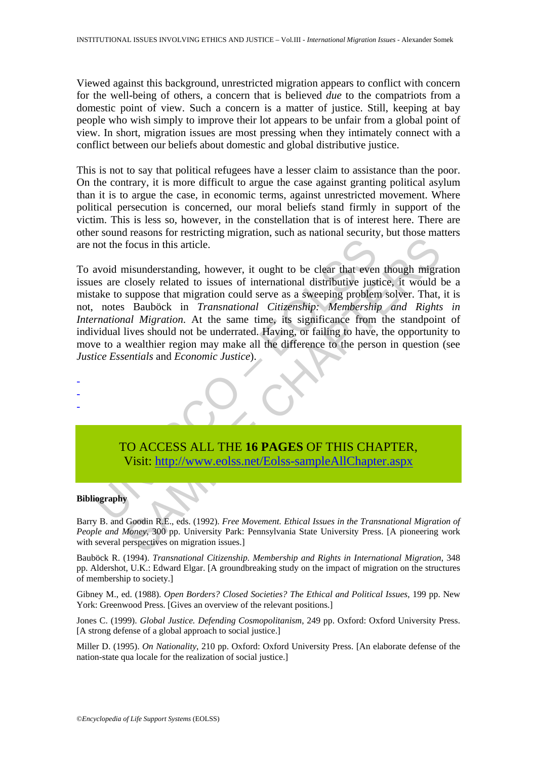Viewed against this background, unrestricted migration appears to conflict with concern for the well-being of others, a concern that is believed *due* to the compatriots from a domestic point of view. Such a concern is a matter of justice. Still, keeping at bay people who wish simply to improve their lot appears to be unfair from a global point of view. In short, migration issues are most pressing when they intimately connect with a conflict between our beliefs about domestic and global distributive justice.

This is not to say that political refugees have a lesser claim to assistance than the poor. On the contrary, it is more difficult to argue the case against granting political asylum than it is to argue the case, in economic terms, against unrestricted movement. Where political persecution is concerned, our moral beliefs stand firmly in support of the victim. This is less so, however, in the constellation that is of interest here. There are other sound reasons for restricting migration, such as national security, but those matters are not the focus in this article.

not the focus in this article.<br>
avoid misunderstanding, however, it ought to be clear that even<br>
take to suppose that increasing conductional distributive just<br>
take to suppose that migration could serve as a sweeping prob Focus in this article.<br>
Insunderstanding, however, it ought to be clear that even though migraclosely related to issues of international distributive justice, it would l<br>
suppose that migration could serve as a sweeping pr To avoid misunderstanding, however, it ought to be clear that even though migration issues are closely related to issues of international distributive justice, it would be a mistake to suppose that migration could serve as a sweeping problem solver. That, it is not, notes Bauböck in *Transnational Citizenship: Membership and Rights in International Migration*. At the same time, its significance from the standpoint of individual lives should not be underrated. Having, or failing to have, the opportunity to move to a wealthier region may make all the difference to the person in question (see *Justice Essentials* and *Economic Justice*).



#### **Bibliography**

- - -

Barry B. and Goodin R.E., eds. (1992). *Free Movement. Ethical Issues in the Transnational Migration of People and Money*, 300 pp. University Park: Pennsylvania State University Press. [A pioneering work with several perspectives on migration issues.]

Bauböck R. (1994). *Transnational Citizenship. Membership and Rights in International Migration*, 348 pp. Aldershot, U.K.: Edward Elgar. [A groundbreaking study on the impact of migration on the structures of membership to society.]

Gibney M., ed. (1988). *Open Borders? Closed Societies? The Ethical and Political Issues*, 199 pp. New York: Greenwood Press. [Gives an overview of the relevant positions.]

Jones C. (1999). *Global Justice. Defending Cosmopolitanism*, 249 pp. Oxford: Oxford University Press. [A strong defense of a global approach to social justice.]

Miller D. (1995). *On Nationality*, 210 pp. Oxford: Oxford University Press. [An elaborate defense of the nation-state qua locale for the realization of social justice.]